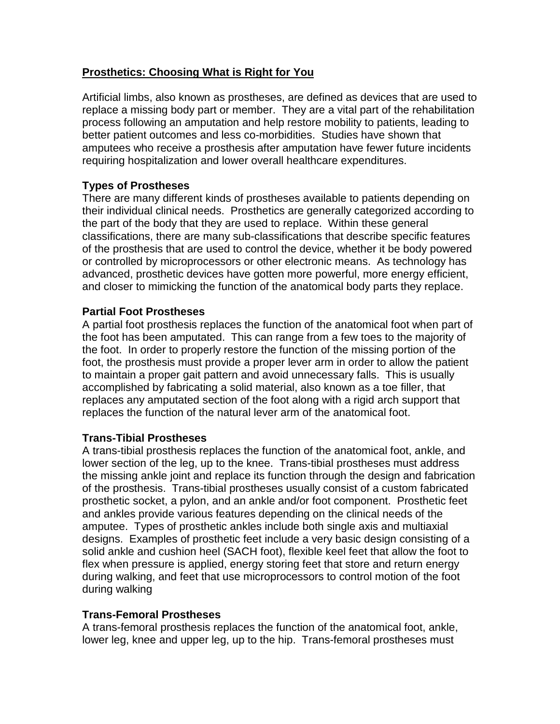# **Prosthetics: Choosing What is Right for You**

Artificial limbs, also known as prostheses, are defined as devices that are used to replace a missing body part or member. They are a vital part of the rehabilitation process following an amputation and help restore mobility to patients, leading to better patient outcomes and less co-morbidities. Studies have shown that amputees who receive a prosthesis after amputation have fewer future incidents requiring hospitalization and lower overall healthcare expenditures.

### **Types of Prostheses**

There are many different kinds of prostheses available to patients depending on their individual clinical needs. Prosthetics are generally categorized according to the part of the body that they are used to replace. Within these general classifications, there are many sub-classifications that describe specific features of the prosthesis that are used to control the device, whether it be body powered or controlled by microprocessors or other electronic means. As technology has advanced, prosthetic devices have gotten more powerful, more energy efficient, and closer to mimicking the function of the anatomical body parts they replace.

### **Partial Foot Prostheses**

A partial foot prosthesis replaces the function of the anatomical foot when part of the foot has been amputated. This can range from a few toes to the majority of the foot. In order to properly restore the function of the missing portion of the foot, the prosthesis must provide a proper lever arm in order to allow the patient to maintain a proper gait pattern and avoid unnecessary falls. This is usually accomplished by fabricating a solid material, also known as a toe filler, that replaces any amputated section of the foot along with a rigid arch support that replaces the function of the natural lever arm of the anatomical foot.

### **Trans-Tibial Prostheses**

A trans-tibial prosthesis replaces the function of the anatomical foot, ankle, and lower section of the leg, up to the knee. Trans-tibial prostheses must address the missing ankle joint and replace its function through the design and fabrication of the prosthesis. Trans-tibial prostheses usually consist of a custom fabricated prosthetic socket, a pylon, and an ankle and/or foot component. Prosthetic feet and ankles provide various features depending on the clinical needs of the amputee. Types of prosthetic ankles include both single axis and multiaxial designs. Examples of prosthetic feet include a very basic design consisting of a solid ankle and cushion heel (SACH foot), flexible keel feet that allow the foot to flex when pressure is applied, energy storing feet that store and return energy during walking, and feet that use microprocessors to control motion of the foot during walking

# **Trans-Femoral Prostheses**

A trans-femoral prosthesis replaces the function of the anatomical foot, ankle, lower leg, knee and upper leg, up to the hip. Trans-femoral prostheses must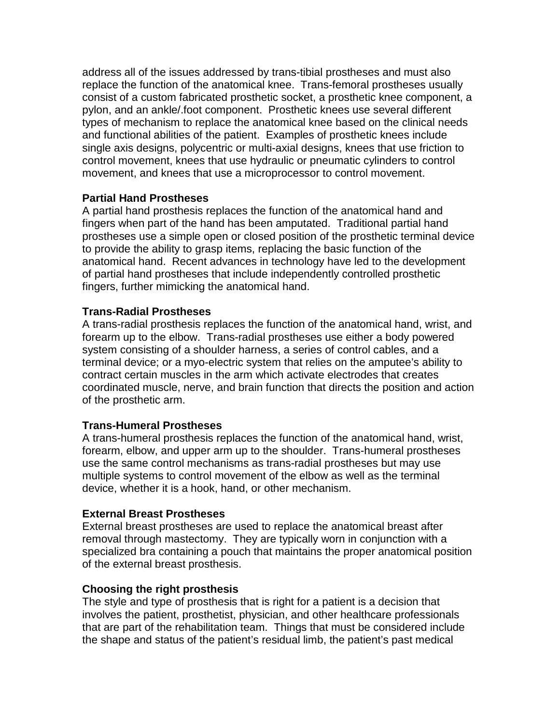address all of the issues addressed by trans-tibial prostheses and must also replace the function of the anatomical knee. Trans-femoral prostheses usually consist of a custom fabricated prosthetic socket, a prosthetic knee component, a pylon, and an ankle/.foot component. Prosthetic knees use several different types of mechanism to replace the anatomical knee based on the clinical needs and functional abilities of the patient. Examples of prosthetic knees include single axis designs, polycentric or multi-axial designs, knees that use friction to control movement, knees that use hydraulic or pneumatic cylinders to control movement, and knees that use a microprocessor to control movement.

### **Partial Hand Prostheses**

A partial hand prosthesis replaces the function of the anatomical hand and fingers when part of the hand has been amputated. Traditional partial hand prostheses use a simple open or closed position of the prosthetic terminal device to provide the ability to grasp items, replacing the basic function of the anatomical hand. Recent advances in technology have led to the development of partial hand prostheses that include independently controlled prosthetic fingers, further mimicking the anatomical hand.

# **Trans-Radial Prostheses**

A trans-radial prosthesis replaces the function of the anatomical hand, wrist, and forearm up to the elbow. Trans-radial prostheses use either a body powered system consisting of a shoulder harness, a series of control cables, and a terminal device; or a myo-electric system that relies on the amputee's ability to contract certain muscles in the arm which activate electrodes that creates coordinated muscle, nerve, and brain function that directs the position and action of the prosthetic arm.

### **Trans-Humeral Prostheses**

A trans-humeral prosthesis replaces the function of the anatomical hand, wrist, forearm, elbow, and upper arm up to the shoulder. Trans-humeral prostheses use the same control mechanisms as trans-radial prostheses but may use multiple systems to control movement of the elbow as well as the terminal device, whether it is a hook, hand, or other mechanism.

### **External Breast Prostheses**

External breast prostheses are used to replace the anatomical breast after removal through mastectomy. They are typically worn in conjunction with a specialized bra containing a pouch that maintains the proper anatomical position of the external breast prosthesis.

### **Choosing the right prosthesis**

The style and type of prosthesis that is right for a patient is a decision that involves the patient, prosthetist, physician, and other healthcare professionals that are part of the rehabilitation team. Things that must be considered include the shape and status of the patient's residual limb, the patient's past medical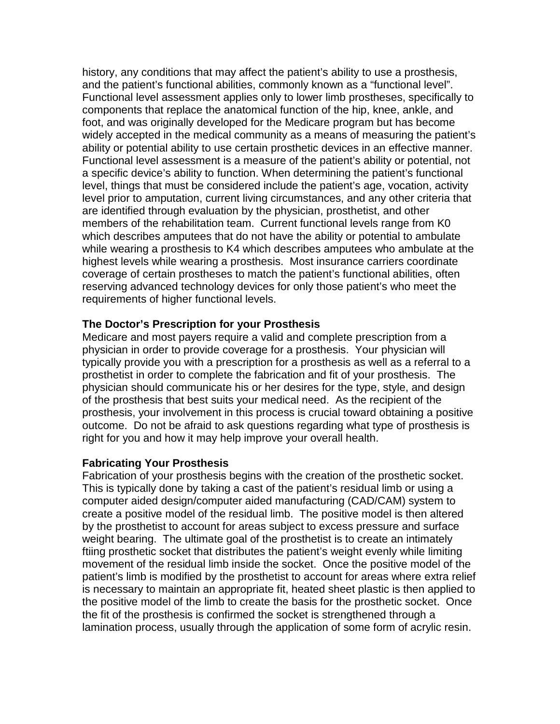history, any conditions that may affect the patient's ability to use a prosthesis, and the patient's functional abilities, commonly known as a "functional level". Functional level assessment applies only to lower limb prostheses, specifically to components that replace the anatomical function of the hip, knee, ankle, and foot, and was originally developed for the Medicare program but has become widely accepted in the medical community as a means of measuring the patient's ability or potential ability to use certain prosthetic devices in an effective manner. Functional level assessment is a measure of the patient's ability or potential, not a specific device's ability to function. When determining the patient's functional level, things that must be considered include the patient's age, vocation, activity level prior to amputation, current living circumstances, and any other criteria that are identified through evaluation by the physician, prosthetist, and other members of the rehabilitation team. Current functional levels range from K0 which describes amputees that do not have the ability or potential to ambulate while wearing a prosthesis to K4 which describes amputees who ambulate at the highest levels while wearing a prosthesis. Most insurance carriers coordinate coverage of certain prostheses to match the patient's functional abilities, often reserving advanced technology devices for only those patient's who meet the requirements of higher functional levels.

#### **The Doctor's Prescription for your Prosthesis**

Medicare and most payers require a valid and complete prescription from a physician in order to provide coverage for a prosthesis. Your physician will typically provide you with a prescription for a prosthesis as well as a referral to a prosthetist in order to complete the fabrication and fit of your prosthesis. The physician should communicate his or her desires for the type, style, and design of the prosthesis that best suits your medical need. As the recipient of the prosthesis, your involvement in this process is crucial toward obtaining a positive outcome. Do not be afraid to ask questions regarding what type of prosthesis is right for you and how it may help improve your overall health.

### **Fabricating Your Prosthesis**

Fabrication of your prosthesis begins with the creation of the prosthetic socket. This is typically done by taking a cast of the patient's residual limb or using a computer aided design/computer aided manufacturing (CAD/CAM) system to create a positive model of the residual limb. The positive model is then altered by the prosthetist to account for areas subject to excess pressure and surface weight bearing. The ultimate goal of the prosthetist is to create an intimately ftiing prosthetic socket that distributes the patient's weight evenly while limiting movement of the residual limb inside the socket. Once the positive model of the patient's limb is modified by the prosthetist to account for areas where extra relief is necessary to maintain an appropriate fit, heated sheet plastic is then applied to the positive model of the limb to create the basis for the prosthetic socket. Once the fit of the prosthesis is confirmed the socket is strengthened through a lamination process, usually through the application of some form of acrylic resin.